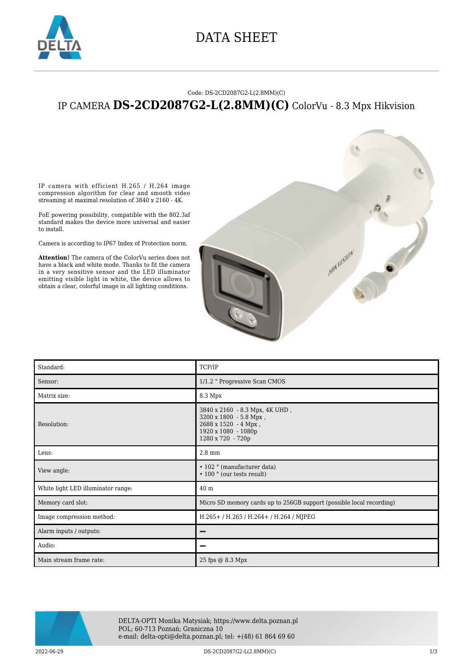

### DATA SHEET

#### Code: DS-2CD2087G2-L(2.8MM)(C)

### IP CAMERA **DS-2CD2087G2-L(2.8MM)(C)** ColorVu - 8.3 Mpx Hikvision

IP camera with efficient H.265 / H.264 image compression algorithm for clear and smooth video streaming at maximal resolution of 3840 x 2160 - 4K.

PoE powering possibility, compatible with the 802.3af standard makes the device more universal and easier to install.

Camera is according to IP67 Index of Protection norm.

**Attention!** The camera of the ColorVu series does not have a black and white mode. Thanks to fit the camera in a very sensitive sensor and the LED illuminator emitting visible light in white, the device allows to obtain a clear, colorful image in all lighting conditions.



| Standard:                          | TCP/IP                                                                                                                       |
|------------------------------------|------------------------------------------------------------------------------------------------------------------------------|
| Sensor:                            | 1/1.2 " Progressive Scan CMOS                                                                                                |
| Matrix size:                       | 8.3 Mpx                                                                                                                      |
| Resolution:                        | 3840 x 2160 - 8.3 Mpx, 4K UHD,<br>3200 x 1800 - 5.8 Mpx,<br>2688 x 1520 - 4 Mpx,<br>1920 x 1080 - 1080p<br>1280 x 720 - 720p |
| Lens:                              | $2.8$ mm                                                                                                                     |
| View angle:                        | • 102 ° (manufacturer data)<br>$\cdot$ 100 $\degree$ (our tests result)                                                      |
| White light LED illuminator range: | 40 <sub>m</sub>                                                                                                              |
| Memory card slot:                  | Micro SD memory cards up to 256GB support (possible local recording)                                                         |
| Image compression method:          | H.265+/H.265/H.264+/H.264/MJPEG                                                                                              |
| Alarm inputs / outputs:            |                                                                                                                              |
| Audio:                             |                                                                                                                              |
| Main stream frame rate:            | 25 fps @ 8.3 Mpx                                                                                                             |



DELTA-OPTI Monika Matysiak; https://www.delta.poznan.pl POL; 60-713 Poznań; Graniczna 10 e-mail: delta-opti@delta.poznan.pl; tel: +(48) 61 864 69 60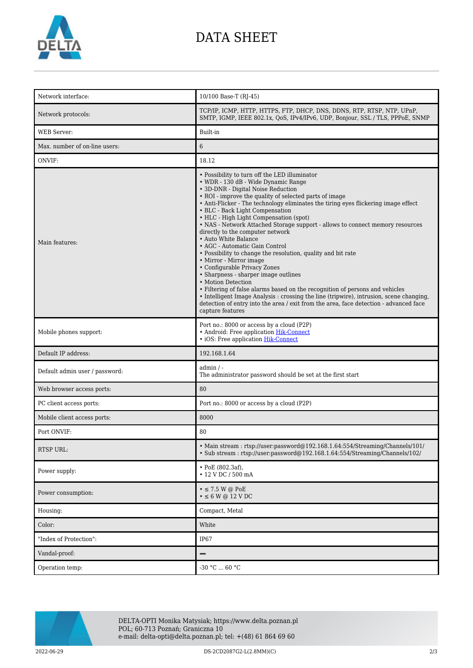

# DATA SHEET

| Network interface:             | 10/100 Base-T (RJ-45)                                                                                                                                                                                                                                                                                                                                                                                                                                                                                                                                                                                                                                                                                                                                                                                                                                                                                                                                                                                                   |
|--------------------------------|-------------------------------------------------------------------------------------------------------------------------------------------------------------------------------------------------------------------------------------------------------------------------------------------------------------------------------------------------------------------------------------------------------------------------------------------------------------------------------------------------------------------------------------------------------------------------------------------------------------------------------------------------------------------------------------------------------------------------------------------------------------------------------------------------------------------------------------------------------------------------------------------------------------------------------------------------------------------------------------------------------------------------|
| Network protocols:             | TCP/IP, ICMP, HTTP, HTTPS, FTP, DHCP, DNS, DDNS, RTP, RTSP, NTP, UPnP,<br>SMTP, IGMP, IEEE 802.1x, QoS, IPv4/IPv6, UDP, Bonjour, SSL / TLS, PPPoE, SNMP                                                                                                                                                                                                                                                                                                                                                                                                                                                                                                                                                                                                                                                                                                                                                                                                                                                                 |
| <b>WEB</b> Server:             | Built-in                                                                                                                                                                                                                                                                                                                                                                                                                                                                                                                                                                                                                                                                                                                                                                                                                                                                                                                                                                                                                |
| Max, number of on-line users:  | 6                                                                                                                                                                                                                                                                                                                                                                                                                                                                                                                                                                                                                                                                                                                                                                                                                                                                                                                                                                                                                       |
| ONVIF:                         | 18.12                                                                                                                                                                                                                                                                                                                                                                                                                                                                                                                                                                                                                                                                                                                                                                                                                                                                                                                                                                                                                   |
| Main features:                 | • Possibility to turn off the LED illuminator<br>• WDR - 130 dB - Wide Dynamic Range<br>• 3D-DNR - Digital Noise Reduction<br>• ROI - improve the quality of selected parts of image<br>• Anti-Flicker - The technology eliminates the tiring eyes flickering image effect<br>• BLC - Back Light Compensation<br>• HLC - High Light Compensation (spot)<br>• NAS - Network Attached Storage support - allows to connect memory resources<br>directly to the computer network<br>• Auto White Balance<br>• AGC - Automatic Gain Control<br>• Possibility to change the resolution, quality and bit rate<br>• Mirror - Mirror image<br>• Configurable Privacy Zones<br>• Sharpness - sharper image outlines<br>• Motion Detection<br>• Filtering of false alarms based on the recognition of persons and vehicles<br>• Intelligent Image Analysis : crossing the line (tripwire), intrusion, scene changing,<br>detection of entry into the area / exit from the area, face detection - advanced face<br>capture features |
| Mobile phones support:         | Port no.: 8000 or access by a cloud (P2P)<br>• Android: Free application Hik-Connect<br>• iOS: Free application Hik-Connect                                                                                                                                                                                                                                                                                                                                                                                                                                                                                                                                                                                                                                                                                                                                                                                                                                                                                             |
| Default IP address:            | 192.168.1.64                                                                                                                                                                                                                                                                                                                                                                                                                                                                                                                                                                                                                                                                                                                                                                                                                                                                                                                                                                                                            |
| Default admin user / password: | $admin / -$<br>The administrator password should be set at the first start                                                                                                                                                                                                                                                                                                                                                                                                                                                                                                                                                                                                                                                                                                                                                                                                                                                                                                                                              |
| Web browser access ports:      | 80                                                                                                                                                                                                                                                                                                                                                                                                                                                                                                                                                                                                                                                                                                                                                                                                                                                                                                                                                                                                                      |
| PC client access ports:        | Port no.: 8000 or access by a cloud (P2P)                                                                                                                                                                                                                                                                                                                                                                                                                                                                                                                                                                                                                                                                                                                                                                                                                                                                                                                                                                               |
| Mobile client access ports:    | 8000                                                                                                                                                                                                                                                                                                                                                                                                                                                                                                                                                                                                                                                                                                                                                                                                                                                                                                                                                                                                                    |
| Port ONVIF:                    | 80                                                                                                                                                                                                                                                                                                                                                                                                                                                                                                                                                                                                                                                                                                                                                                                                                                                                                                                                                                                                                      |
| RTSP URL:                      | • Main stream: rtsp://user:password@192.168.1.64:554/Streaming/Channels/101/<br>• Sub stream: rtsp://user.password@192.168.1.64.554/Streaming/Channels/102/                                                                                                                                                                                                                                                                                                                                                                                                                                                                                                                                                                                                                                                                                                                                                                                                                                                             |
| Power supply:                  | • PoE (802.3af),<br>• 12 V DC / 500 mA                                                                                                                                                                                                                                                                                                                                                                                                                                                                                                                                                                                                                                                                                                                                                                                                                                                                                                                                                                                  |
| Power consumption:             | $\bullet \leq 7.5$ W @ PoE<br>$\bullet \leq 6$ W @ 12 V DC                                                                                                                                                                                                                                                                                                                                                                                                                                                                                                                                                                                                                                                                                                                                                                                                                                                                                                                                                              |
| Housing:                       | Compact, Metal                                                                                                                                                                                                                                                                                                                                                                                                                                                                                                                                                                                                                                                                                                                                                                                                                                                                                                                                                                                                          |
| Color:                         | White                                                                                                                                                                                                                                                                                                                                                                                                                                                                                                                                                                                                                                                                                                                                                                                                                                                                                                                                                                                                                   |
| "Index of Protection":         | IP67                                                                                                                                                                                                                                                                                                                                                                                                                                                                                                                                                                                                                                                                                                                                                                                                                                                                                                                                                                                                                    |
| Vandal-proof:                  | -                                                                                                                                                                                                                                                                                                                                                                                                                                                                                                                                                                                                                                                                                                                                                                                                                                                                                                                                                                                                                       |
| Operation temp:                | -30 °C $\ldots$ 60 °C                                                                                                                                                                                                                                                                                                                                                                                                                                                                                                                                                                                                                                                                                                                                                                                                                                                                                                                                                                                                   |



DELTA-OPTI Monika Matysiak; https://www.delta.poznan.pl POL; 60-713 Poznań; Graniczna 10 e-mail: delta-opti@delta.poznan.pl; tel: +(48) 61 864 69 60